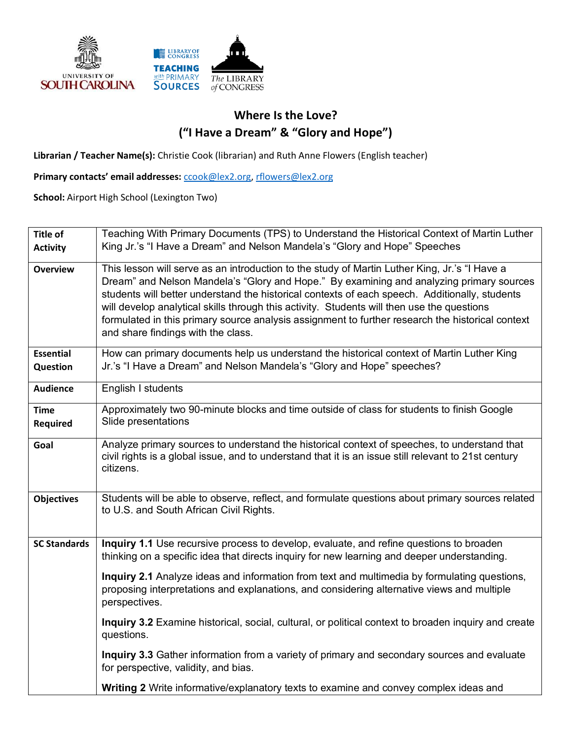

## **Where Is the Love? ("I Have a Dream" & "Glory and Hope")**

**Librarian / Teacher Name(s):** Christie Cook (librarian) and Ruth Anne Flowers (English teacher)

**Primary contacts' email addresses:** ccook@lex2.org, rflowers@lex2.org

**School:** Airport High School (Lexington Two)

| <b>Title of</b>                | Teaching With Primary Documents (TPS) to Understand the Historical Context of Martin Luther                                                                                                                                                                                                                                                                                                                                                                                                                                         |
|--------------------------------|-------------------------------------------------------------------------------------------------------------------------------------------------------------------------------------------------------------------------------------------------------------------------------------------------------------------------------------------------------------------------------------------------------------------------------------------------------------------------------------------------------------------------------------|
| <b>Activity</b>                | King Jr.'s "I Have a Dream" and Nelson Mandela's "Glory and Hope" Speeches                                                                                                                                                                                                                                                                                                                                                                                                                                                          |
| <b>Overview</b>                | This lesson will serve as an introduction to the study of Martin Luther King, Jr.'s "I Have a<br>Dream" and Nelson Mandela's "Glory and Hope." By examining and analyzing primary sources<br>students will better understand the historical contexts of each speech. Additionally, students<br>will develop analytical skills through this activity. Students will then use the questions<br>formulated in this primary source analysis assignment to further research the historical context<br>and share findings with the class. |
| <b>Essential</b><br>Question   | How can primary documents help us understand the historical context of Martin Luther King<br>Jr.'s "I Have a Dream" and Nelson Mandela's "Glory and Hope" speeches?                                                                                                                                                                                                                                                                                                                                                                 |
| <b>Audience</b>                | English I students                                                                                                                                                                                                                                                                                                                                                                                                                                                                                                                  |
| <b>Time</b><br><b>Required</b> | Approximately two 90-minute blocks and time outside of class for students to finish Google<br>Slide presentations                                                                                                                                                                                                                                                                                                                                                                                                                   |
| Goal                           | Analyze primary sources to understand the historical context of speeches, to understand that<br>civil rights is a global issue, and to understand that it is an issue still relevant to 21st century<br>citizens.                                                                                                                                                                                                                                                                                                                   |
| <b>Objectives</b>              | Students will be able to observe, reflect, and formulate questions about primary sources related<br>to U.S. and South African Civil Rights.                                                                                                                                                                                                                                                                                                                                                                                         |
| <b>SC Standards</b>            | Inquiry 1.1 Use recursive process to develop, evaluate, and refine questions to broaden<br>thinking on a specific idea that directs inquiry for new learning and deeper understanding.                                                                                                                                                                                                                                                                                                                                              |
|                                | Inquiry 2.1 Analyze ideas and information from text and multimedia by formulating questions,<br>proposing interpretations and explanations, and considering alternative views and multiple<br>perspectives.                                                                                                                                                                                                                                                                                                                         |
|                                | Inquiry 3.2 Examine historical, social, cultural, or political context to broaden inquiry and create<br>questions.                                                                                                                                                                                                                                                                                                                                                                                                                  |
|                                | Inquiry 3.3 Gather information from a variety of primary and secondary sources and evaluate<br>for perspective, validity, and bias.                                                                                                                                                                                                                                                                                                                                                                                                 |
|                                | <b>Writing 2</b> Write informative/explanatory texts to examine and convey complex ideas and                                                                                                                                                                                                                                                                                                                                                                                                                                        |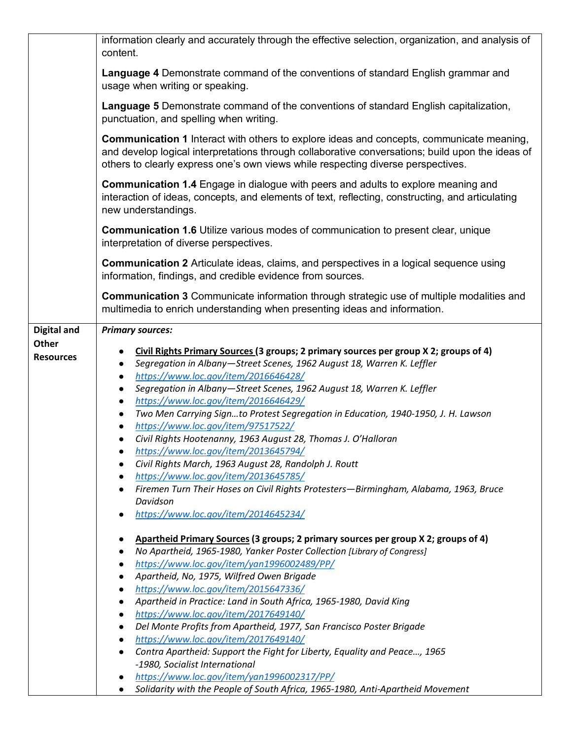| Language 4 Demonstrate command of the conventions of standard English grammar and<br>usage when writing or speaking.<br><b>Language 5</b> Demonstrate command of the conventions of standard English capitalization,<br>punctuation, and spelling when writing.<br><b>Communication 1</b> Interact with others to explore ideas and concepts, communicate meaning,<br>and develop logical interpretations through collaborative conversations; build upon the ideas of<br>others to clearly express one's own views while respecting diverse perspectives.<br><b>Communication 1.4</b> Engage in dialogue with peers and adults to explore meaning and<br>interaction of ideas, concepts, and elements of text, reflecting, constructing, and articulating<br>new understandings.<br><b>Communication 1.6 Utilize various modes of communication to present clear, unique</b><br>interpretation of diverse perspectives.<br><b>Communication 2</b> Articulate ideas, claims, and perspectives in a logical sequence using<br>information, findings, and credible evidence from sources.<br><b>Communication 3</b> Communicate information through strategic use of multiple modalities and<br>multimedia to enrich understanding when presenting ideas and information.<br><b>Digital and</b><br><b>Primary sources:</b><br><b>Other</b><br>Civil Rights Primary Sources (3 groups; 2 primary sources per group X 2; groups of 4)<br><b>Resources</b><br>Segregation in Albany-Street Scenes, 1962 August 18, Warren K. Leffler<br>$\bullet$<br>https://www.loc.gov/item/2016646428/<br>Segregation in Albany-Street Scenes, 1962 August 18, Warren K. Leffler<br>$\bullet$<br>https://www.loc.gov/item/2016646429/<br>$\bullet$<br>Two Men Carrying Signto Protest Segregation in Education, 1940-1950, J. H. Lawson<br>$\bullet$<br>https://www.loc.gov/item/97517522/<br>Civil Rights Hootenanny, 1963 August 28, Thomas J. O'Halloran<br>https://www.loc.gov/item/2013645794/<br>Civil Rights March, 1963 August 28, Randolph J. Routt<br>https://www.loc.gov/item/2013645785/<br>Firemen Turn Their Hoses on Civil Rights Protesters-Birmingham, Alabama, 1963, Bruce<br>Davidson<br>https://www.loc.gov/item/2014645234/<br>Apartheid Primary Sources (3 groups; 2 primary sources per group X 2; groups of 4)<br>No Apartheid, 1965-1980, Yanker Poster Collection [Library of Congress]<br>https://www.loc.gov/item/yan1996002489/PP/<br>Apartheid, No, 1975, Wilfred Owen Brigade<br>https://www.loc.gov/item/2015647336/<br>Apartheid in Practice: Land in South Africa, 1965-1980, David King<br>https://www.loc.gov/item/2017649140/<br>Del Monte Profits from Apartheid, 1977, San Francisco Poster Brigade<br>https://www.loc.gov/item/2017649140/<br>Contra Apartheid: Support the Fight for Liberty, Equality and Peace, 1965<br>-1980, Socialist International<br>https://www.loc.gov/item/yan1996002317/PP/<br>Solidarity with the People of South Africa, 1965-1980, Anti-Apartheid Movement | information clearly and accurately through the effective selection, organization, and analysis of<br>content. |
|-----------------------------------------------------------------------------------------------------------------------------------------------------------------------------------------------------------------------------------------------------------------------------------------------------------------------------------------------------------------------------------------------------------------------------------------------------------------------------------------------------------------------------------------------------------------------------------------------------------------------------------------------------------------------------------------------------------------------------------------------------------------------------------------------------------------------------------------------------------------------------------------------------------------------------------------------------------------------------------------------------------------------------------------------------------------------------------------------------------------------------------------------------------------------------------------------------------------------------------------------------------------------------------------------------------------------------------------------------------------------------------------------------------------------------------------------------------------------------------------------------------------------------------------------------------------------------------------------------------------------------------------------------------------------------------------------------------------------------------------------------------------------------------------------------------------------------------------------------------------------------------------------------------------------------------------------------------------------------------------------------------------------------------------------------------------------------------------------------------------------------------------------------------------------------------------------------------------------------------------------------------------------------------------------------------------------------------------------------------------------------------------------------------------------------------------------------------------------------------------------------------------------------------------------------------------------------------------------------------------------------------------------------------------------------------------------------------------------------------------------------------------------------------------------------------------------------------------------------------------------------------------------------------------------------------------------------------------------------------------------------------------|---------------------------------------------------------------------------------------------------------------|
|                                                                                                                                                                                                                                                                                                                                                                                                                                                                                                                                                                                                                                                                                                                                                                                                                                                                                                                                                                                                                                                                                                                                                                                                                                                                                                                                                                                                                                                                                                                                                                                                                                                                                                                                                                                                                                                                                                                                                                                                                                                                                                                                                                                                                                                                                                                                                                                                                                                                                                                                                                                                                                                                                                                                                                                                                                                                                                                                                                                                                 |                                                                                                               |
|                                                                                                                                                                                                                                                                                                                                                                                                                                                                                                                                                                                                                                                                                                                                                                                                                                                                                                                                                                                                                                                                                                                                                                                                                                                                                                                                                                                                                                                                                                                                                                                                                                                                                                                                                                                                                                                                                                                                                                                                                                                                                                                                                                                                                                                                                                                                                                                                                                                                                                                                                                                                                                                                                                                                                                                                                                                                                                                                                                                                                 |                                                                                                               |
|                                                                                                                                                                                                                                                                                                                                                                                                                                                                                                                                                                                                                                                                                                                                                                                                                                                                                                                                                                                                                                                                                                                                                                                                                                                                                                                                                                                                                                                                                                                                                                                                                                                                                                                                                                                                                                                                                                                                                                                                                                                                                                                                                                                                                                                                                                                                                                                                                                                                                                                                                                                                                                                                                                                                                                                                                                                                                                                                                                                                                 |                                                                                                               |
|                                                                                                                                                                                                                                                                                                                                                                                                                                                                                                                                                                                                                                                                                                                                                                                                                                                                                                                                                                                                                                                                                                                                                                                                                                                                                                                                                                                                                                                                                                                                                                                                                                                                                                                                                                                                                                                                                                                                                                                                                                                                                                                                                                                                                                                                                                                                                                                                                                                                                                                                                                                                                                                                                                                                                                                                                                                                                                                                                                                                                 |                                                                                                               |
|                                                                                                                                                                                                                                                                                                                                                                                                                                                                                                                                                                                                                                                                                                                                                                                                                                                                                                                                                                                                                                                                                                                                                                                                                                                                                                                                                                                                                                                                                                                                                                                                                                                                                                                                                                                                                                                                                                                                                                                                                                                                                                                                                                                                                                                                                                                                                                                                                                                                                                                                                                                                                                                                                                                                                                                                                                                                                                                                                                                                                 |                                                                                                               |
|                                                                                                                                                                                                                                                                                                                                                                                                                                                                                                                                                                                                                                                                                                                                                                                                                                                                                                                                                                                                                                                                                                                                                                                                                                                                                                                                                                                                                                                                                                                                                                                                                                                                                                                                                                                                                                                                                                                                                                                                                                                                                                                                                                                                                                                                                                                                                                                                                                                                                                                                                                                                                                                                                                                                                                                                                                                                                                                                                                                                                 |                                                                                                               |
|                                                                                                                                                                                                                                                                                                                                                                                                                                                                                                                                                                                                                                                                                                                                                                                                                                                                                                                                                                                                                                                                                                                                                                                                                                                                                                                                                                                                                                                                                                                                                                                                                                                                                                                                                                                                                                                                                                                                                                                                                                                                                                                                                                                                                                                                                                                                                                                                                                                                                                                                                                                                                                                                                                                                                                                                                                                                                                                                                                                                                 |                                                                                                               |
|                                                                                                                                                                                                                                                                                                                                                                                                                                                                                                                                                                                                                                                                                                                                                                                                                                                                                                                                                                                                                                                                                                                                                                                                                                                                                                                                                                                                                                                                                                                                                                                                                                                                                                                                                                                                                                                                                                                                                                                                                                                                                                                                                                                                                                                                                                                                                                                                                                                                                                                                                                                                                                                                                                                                                                                                                                                                                                                                                                                                                 |                                                                                                               |
|                                                                                                                                                                                                                                                                                                                                                                                                                                                                                                                                                                                                                                                                                                                                                                                                                                                                                                                                                                                                                                                                                                                                                                                                                                                                                                                                                                                                                                                                                                                                                                                                                                                                                                                                                                                                                                                                                                                                                                                                                                                                                                                                                                                                                                                                                                                                                                                                                                                                                                                                                                                                                                                                                                                                                                                                                                                                                                                                                                                                                 |                                                                                                               |
|                                                                                                                                                                                                                                                                                                                                                                                                                                                                                                                                                                                                                                                                                                                                                                                                                                                                                                                                                                                                                                                                                                                                                                                                                                                                                                                                                                                                                                                                                                                                                                                                                                                                                                                                                                                                                                                                                                                                                                                                                                                                                                                                                                                                                                                                                                                                                                                                                                                                                                                                                                                                                                                                                                                                                                                                                                                                                                                                                                                                                 |                                                                                                               |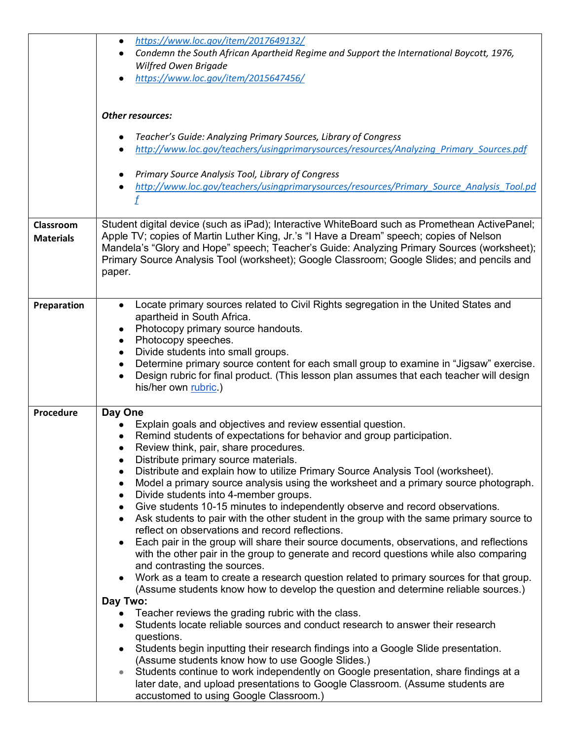|                  | https://www.loc.gov/item/2017649132/<br>$\bullet$                                                                                                                                              |
|------------------|------------------------------------------------------------------------------------------------------------------------------------------------------------------------------------------------|
|                  | Condemn the South African Apartheid Regime and Support the International Boycott, 1976,<br>Wilfred Owen Brigade                                                                                |
|                  | https://www.loc.gov/item/2015647456/                                                                                                                                                           |
|                  |                                                                                                                                                                                                |
|                  | <b>Other resources:</b>                                                                                                                                                                        |
|                  |                                                                                                                                                                                                |
|                  | Teacher's Guide: Analyzing Primary Sources, Library of Congress                                                                                                                                |
|                  | http://www.loc.gov/teachers/usingprimarysources/resources/Analyzing Primary Sources.pdf                                                                                                        |
|                  | Primary Source Analysis Tool, Library of Congress                                                                                                                                              |
|                  | http://www.loc.gov/teachers/usingprimarysources/resources/Primary_Source_Analysis_Tool.pd                                                                                                      |
|                  |                                                                                                                                                                                                |
| Classroom        | Student digital device (such as iPad); Interactive WhiteBoard such as Promethean ActivePanel;                                                                                                  |
| <b>Materials</b> | Apple TV; copies of Martin Luther King, Jr.'s "I Have a Dream" speech; copies of Nelson                                                                                                        |
|                  | Mandela's "Glory and Hope" speech; Teacher's Guide: Analyzing Primary Sources (worksheet);                                                                                                     |
|                  | Primary Source Analysis Tool (worksheet); Google Classroom; Google Slides; and pencils and                                                                                                     |
|                  | paper.                                                                                                                                                                                         |
|                  |                                                                                                                                                                                                |
| Preparation      | Locate primary sources related to Civil Rights segregation in the United States and<br>$\bullet$<br>apartheid in South Africa.                                                                 |
|                  | Photocopy primary source handouts.                                                                                                                                                             |
|                  | Photocopy speeches.                                                                                                                                                                            |
|                  | Divide students into small groups.<br>$\bullet$                                                                                                                                                |
|                  | Determine primary source content for each small group to examine in "Jigsaw" exercise.<br>Design rubric for final product. (This lesson plan assumes that each teacher will design             |
|                  | his/her own rubric.)                                                                                                                                                                           |
|                  |                                                                                                                                                                                                |
| Procedure        | Day One                                                                                                                                                                                        |
|                  | Explain goals and objectives and review essential question.<br>Remind students of expectations for behavior and group participation.                                                           |
|                  | Review think, pair, share procedures.                                                                                                                                                          |
|                  | Distribute primary source materials.<br>$\bullet$                                                                                                                                              |
|                  | Distribute and explain how to utilize Primary Source Analysis Tool (worksheet).                                                                                                                |
|                  | Model a primary source analysis using the worksheet and a primary source photograph.<br>$\bullet$<br>Divide students into 4-member groups.<br>$\bullet$                                        |
|                  | Give students 10-15 minutes to independently observe and record observations.<br>$\bullet$                                                                                                     |
|                  | Ask students to pair with the other student in the group with the same primary source to<br>$\bullet$                                                                                          |
|                  | reflect on observations and record reflections.                                                                                                                                                |
|                  | Each pair in the group will share their source documents, observations, and reflections<br>$\bullet$<br>with the other pair in the group to generate and record questions while also comparing |
|                  | and contrasting the sources.                                                                                                                                                                   |
|                  | Work as a team to create a research question related to primary sources for that group.<br>$\bullet$                                                                                           |
|                  | (Assume students know how to develop the question and determine reliable sources.)<br>Day Two:                                                                                                 |
|                  | Teacher reviews the grading rubric with the class.                                                                                                                                             |
|                  | Students locate reliable sources and conduct research to answer their research<br>$\bullet$                                                                                                    |
|                  | questions.                                                                                                                                                                                     |
|                  | Students begin inputting their research findings into a Google Slide presentation.<br>$\bullet$<br>(Assume students know how to use Google Slides.)                                            |
|                  | Students continue to work independently on Google presentation, share findings at a                                                                                                            |
|                  | later date, and upload presentations to Google Classroom. (Assume students are                                                                                                                 |
|                  | accustomed to using Google Classroom.)                                                                                                                                                         |